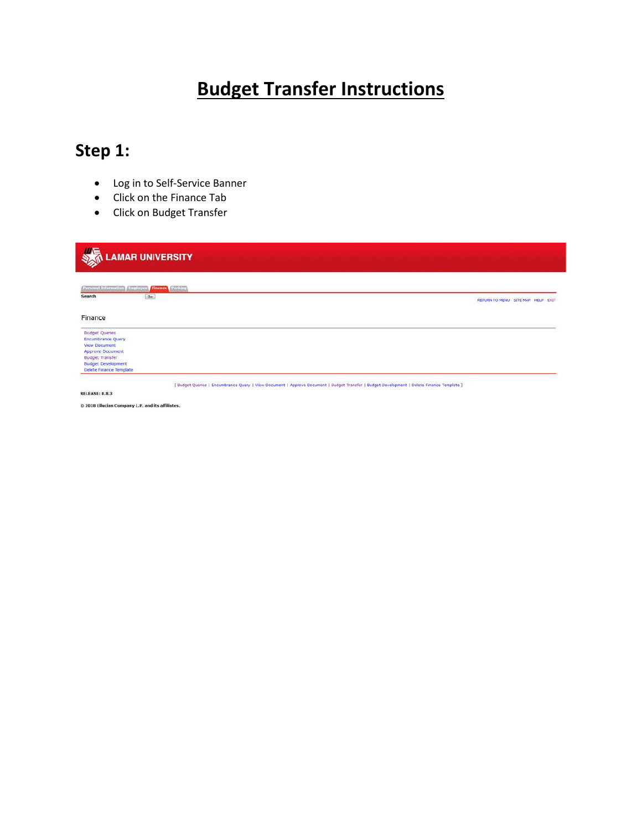# **Budget Transfer Instructions**

# **Step 1:**

- Log in to Self-Service Banner
- Click on the Finance Tab
- Click on Budget Transfer

| <b>LAMAR UNIVERSITY</b>                                                    |                                   |
|----------------------------------------------------------------------------|-----------------------------------|
| <b>Personal Information   Employee   Finance   Parking</b><br>Go<br>Search |                                   |
|                                                                            | RETURN TO MENU SITE MAP HELP EXIT |
| Finance                                                                    |                                   |
| <b>Budget Queries</b><br><b>Encumbrance Query</b>                          |                                   |
| <b>View Document</b><br><b>Approve Document</b>                            |                                   |
| <b>Budget Transfer</b>                                                     |                                   |
| <b>Budget Development</b><br>Delete Finance Template                       |                                   |

© 2018 Ellucian Company L.P. and its affiliates.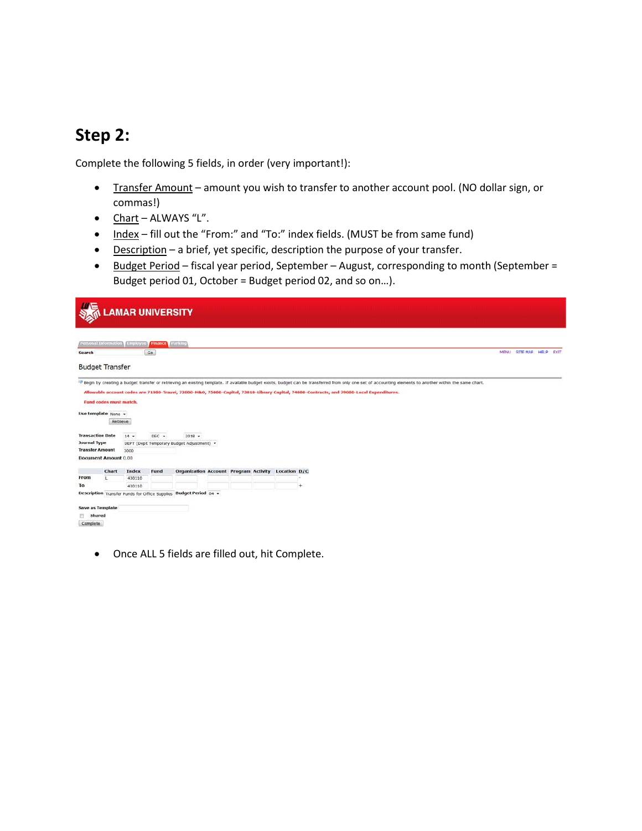#### **Step 2:**

Complete the following 5 fields, in order (very important!):

- Transfer Amount amount you wish to transfer to another account pool. (NO dollar sign, or commas!)
- Chart ALWAYS "L".
- Index fill out the "From:" and "To:" index fields. (MUST be from same fund)
- Description a brief, yet specific, description the purpose of your transfer.
- Budget Period fiscal year period, September August, corresponding to month (September = Budget period 01, October = Budget period 02, and so on…).

|                         |                             |                               | <b>LAMAR UNIVERSITY</b> |                                                                                                                                                                                                                                                                                                                                                       |  |  |   |  |  |  |  |  |  |                    |       |
|-------------------------|-----------------------------|-------------------------------|-------------------------|-------------------------------------------------------------------------------------------------------------------------------------------------------------------------------------------------------------------------------------------------------------------------------------------------------------------------------------------------------|--|--|---|--|--|--|--|--|--|--------------------|-------|
|                         |                             | Personal Information Employee | <b>Finance Farking</b>  |                                                                                                                                                                                                                                                                                                                                                       |  |  |   |  |  |  |  |  |  |                    |       |
| Search                  |                             |                               | Go                      |                                                                                                                                                                                                                                                                                                                                                       |  |  |   |  |  |  |  |  |  | MENU SITE MAP HELP | EXIT. |
|                         | <b>Budget Transfer</b>      |                               |                         |                                                                                                                                                                                                                                                                                                                                                       |  |  |   |  |  |  |  |  |  |                    |       |
|                         | Fund codes must match.      |                               |                         | Regin by creating a budget transfer or retrieving an existing template. If available budget exists, budget can be transferred from only one set of accounting elements to another within the same chart.<br>Allowable account codes are 71000-Travel, 72000-M&O, 75000-Capital, 73010-Library Capital, 74000-Contracts, and 79000-Local Expenditures. |  |  |   |  |  |  |  |  |  |                    |       |
|                         |                             |                               |                         |                                                                                                                                                                                                                                                                                                                                                       |  |  |   |  |  |  |  |  |  |                    |       |
|                         | Use template None =         | Retrieve                      |                         |                                                                                                                                                                                                                                                                                                                                                       |  |  |   |  |  |  |  |  |  |                    |       |
| <b>Transaction Date</b> |                             | $14 -$                        | $DEC -$                 | $2018$ $\star$                                                                                                                                                                                                                                                                                                                                        |  |  |   |  |  |  |  |  |  |                    |       |
| <b>Journal Type</b>     |                             |                               |                         | DEPT (Dept Temporary Budget Adjustment) -                                                                                                                                                                                                                                                                                                             |  |  |   |  |  |  |  |  |  |                    |       |
| <b>Transfer Amount</b>  |                             | 3000                          |                         |                                                                                                                                                                                                                                                                                                                                                       |  |  |   |  |  |  |  |  |  |                    |       |
|                         | <b>Document Amount 0.00</b> |                               |                         |                                                                                                                                                                                                                                                                                                                                                       |  |  |   |  |  |  |  |  |  |                    |       |
|                         | Chart                       | <b>Index</b>                  | Fund                    | Organization Account Program Activity Location D/C                                                                                                                                                                                                                                                                                                    |  |  |   |  |  |  |  |  |  |                    |       |
| From                    |                             | 430110                        |                         |                                                                                                                                                                                                                                                                                                                                                       |  |  |   |  |  |  |  |  |  |                    |       |
| To                      |                             | 430110                        |                         |                                                                                                                                                                                                                                                                                                                                                       |  |  | ∔ |  |  |  |  |  |  |                    |       |
|                         |                             |                               |                         | Description Transfer Funds for Office Supplies Budget Period 04 .                                                                                                                                                                                                                                                                                     |  |  |   |  |  |  |  |  |  |                    |       |
|                         | <b>Save as Template</b>     |                               |                         |                                                                                                                                                                                                                                                                                                                                                       |  |  |   |  |  |  |  |  |  |                    |       |
| Shared                  |                             |                               |                         |                                                                                                                                                                                                                                                                                                                                                       |  |  |   |  |  |  |  |  |  |                    |       |
| Complete                |                             |                               |                         |                                                                                                                                                                                                                                                                                                                                                       |  |  |   |  |  |  |  |  |  |                    |       |
|                         |                             |                               |                         |                                                                                                                                                                                                                                                                                                                                                       |  |  |   |  |  |  |  |  |  |                    |       |

• Once ALL 5 fields are filled out, hit Complete.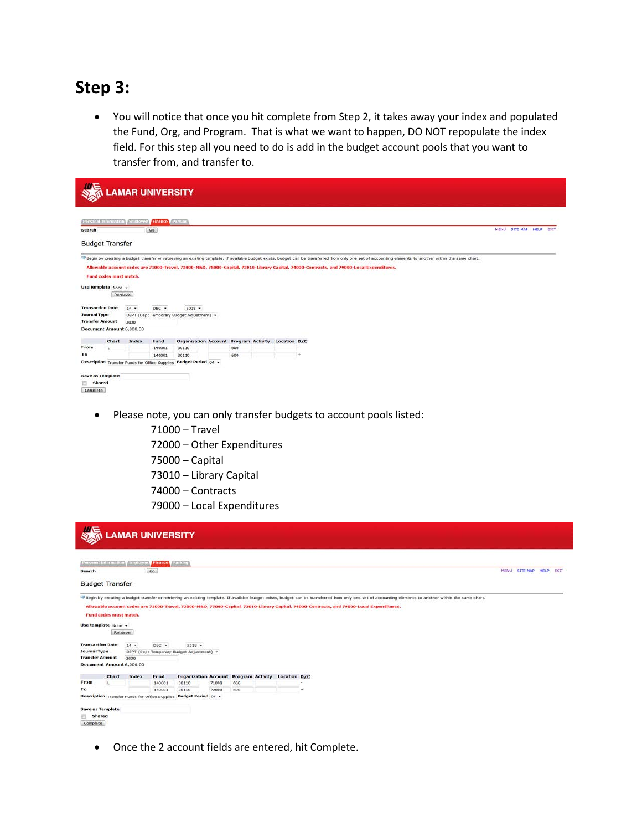#### **Step 3:**

• You will notice that once you hit complete from Step 2, it takes away your index and populated the Fund, Org, and Program. That is what we want to happen, DO NOT repopulate the index field. For this step all you need to do is add in the budget account pools that you want to transfer from, and transfer to.

|                         |                                                      |                                 | <b>LAMAR UNIVERSITY</b>      |                                                                   |     |  |                                                                                                                                           |             |                    |  |
|-------------------------|------------------------------------------------------|---------------------------------|------------------------------|-------------------------------------------------------------------|-----|--|-------------------------------------------------------------------------------------------------------------------------------------------|-------------|--------------------|--|
| Search                  |                                                      | Personal Information / Employee | <b>Finance Parking</b><br>Go |                                                                   |     |  |                                                                                                                                           | <b>MENU</b> | SITE MAP HELP EXIT |  |
|                         | <b>Budget Transfer</b>                               |                                 |                              |                                                                   |     |  |                                                                                                                                           |             |                    |  |
|                         | <b>Fund codes must match.</b><br>Use template None + | Retrieve                        |                              |                                                                   |     |  | Allowable account codes are 71000-Travel, 72000-M&O, 75000-Capital, 73010-Library Capital, 74000-Contracts, and 79000-Local Expenditures. |             |                    |  |
|                         | <b>Transaction Date</b>                              | $14 -$                          | $DEC +$                      | $2018 -$                                                          |     |  |                                                                                                                                           |             |                    |  |
| <b>Journal Type</b>     | <b>Transfer Amount</b>                               | 3000                            |                              | DEPT (Dept Temporary Budget Adjustment) .                         |     |  |                                                                                                                                           |             |                    |  |
|                         |                                                      | Document Amount 6,000.00        |                              |                                                                   |     |  |                                                                                                                                           |             |                    |  |
|                         | Chart                                                | Index                           | Fund                         | Organization Account Program Activity Location D/C                |     |  |                                                                                                                                           |             |                    |  |
| From                    |                                                      |                                 | 140001                       | 30110                                                             | 600 |  |                                                                                                                                           |             |                    |  |
| To                      |                                                      |                                 | 140001                       | 30110                                                             | 600 |  | ٠                                                                                                                                         |             |                    |  |
|                         |                                                      |                                 |                              | Description Transfer Funds for Office Supplies Budget Period 04 - |     |  |                                                                                                                                           |             |                    |  |
|                         | <b>Save as Template</b>                              |                                 |                              |                                                                   |     |  |                                                                                                                                           |             |                    |  |
| Shared<br>囲<br>Complete |                                                      |                                 |                              |                                                                   |     |  |                                                                                                                                           |             |                    |  |

- Please note, you can only transfer budgets to account pools listed:
	- 71000 Travel
	- 72000 Other Expenditures
	- 75000 Capital
	- 73010 Library Capital
	- 74000 Contracts
	- 79000 Local Expenditures

|                         |                                                                  |          | <b>LAMAR UNIVERSITY</b>                               |                                           |       |     |                               |                                                                                                                                                                                                                                                                                                                                                         |                    |      |
|-------------------------|------------------------------------------------------------------|----------|-------------------------------------------------------|-------------------------------------------|-------|-----|-------------------------------|---------------------------------------------------------------------------------------------------------------------------------------------------------------------------------------------------------------------------------------------------------------------------------------------------------------------------------------------------------|--------------------|------|
|                         | Personal Information                                             | Employee | <b>Finance Parking</b>                                |                                           |       |     |                               |                                                                                                                                                                                                                                                                                                                                                         |                    |      |
| Search                  |                                                                  |          | Go                                                    |                                           |       |     |                               |                                                                                                                                                                                                                                                                                                                                                         | MENU SITE MAP HELP | EXIT |
|                         | <b>Budget Transfer</b>                                           |          |                                                       |                                           |       |     |                               |                                                                                                                                                                                                                                                                                                                                                         |                    |      |
|                         | <b>Fund codes must match.</b><br>Use template None +<br>Retrieve |          |                                                       |                                           |       |     |                               | The gin by creating a budget transfer or retrieving an existing template. If available budget exists, budget can be transferred from only one set of accounting elements to another within the same chart.<br>Allowable account codes are 71000-Travel, 72000-M&O, 75000-Capital, 73010-Library Capital, 74000-Contracts, and 79000-Local Expenditures. |                    |      |
| <b>Transaction Date</b> |                                                                  | $14 -$   | $DEC +$                                               | $2018$ $\star$                            |       |     |                               |                                                                                                                                                                                                                                                                                                                                                         |                    |      |
| <b>Journal Type</b>     |                                                                  |          |                                                       | DEPT (Dept Temporary Budget Adjustment) + |       |     |                               |                                                                                                                                                                                                                                                                                                                                                         |                    |      |
| <b>Transfer Amount</b>  | Document Amount 6,000.00                                         | 3000     |                                                       |                                           |       |     |                               |                                                                                                                                                                                                                                                                                                                                                         |                    |      |
|                         |                                                                  |          |                                                       |                                           |       |     |                               |                                                                                                                                                                                                                                                                                                                                                         |                    |      |
|                         | Chart                                                            | Index    | Fund                                                  | <b>Organization Account</b>               |       |     | Program Activity Location D/C |                                                                                                                                                                                                                                                                                                                                                         |                    |      |
| From                    |                                                                  |          | 140001                                                | 30110                                     | 71000 | 600 |                               |                                                                                                                                                                                                                                                                                                                                                         |                    |      |
| To                      |                                                                  |          | 140001                                                | 30110                                     | 72000 | 600 |                               | ÷                                                                                                                                                                                                                                                                                                                                                       |                    |      |
| Shared<br>Complete      | <b>Save as Template</b>                                          |          | <b>Description</b> Transfer Funds for Office Supplies | <b>Budget Period</b> os -                 |       |     |                               |                                                                                                                                                                                                                                                                                                                                                         |                    |      |

• Once the 2 account fields are entered, hit Complete.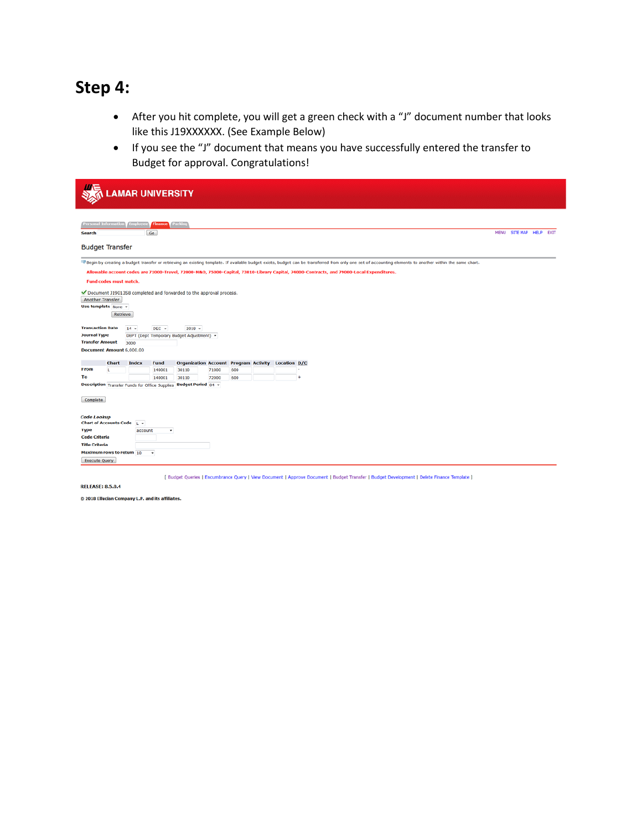## **Step 4:**

- After you hit complete, you will get a green check with a "J" document number that looks like this J19XXXXXX. (See Example Below)
- If you see the "J" document that means you have successfully entered the transfer to Budget for approval. Congratulations!

|                                                                                                                        |                                                                                                                                                                                                                                                                                                                                                                                 |                 | <b>AMAR UNIVERSITY</b>        |                                                                    |       |     |  |  |                                                                                                                                            |             |                 |                  |  |  |
|------------------------------------------------------------------------------------------------------------------------|---------------------------------------------------------------------------------------------------------------------------------------------------------------------------------------------------------------------------------------------------------------------------------------------------------------------------------------------------------------------------------|-----------------|-------------------------------|--------------------------------------------------------------------|-------|-----|--|--|--------------------------------------------------------------------------------------------------------------------------------------------|-------------|-----------------|------------------|--|--|
| <b>Search</b>                                                                                                          | <b>Personal Information</b>                                                                                                                                                                                                                                                                                                                                                     | <b>Employee</b> | <b>Finance</b> Parking<br>Go  |                                                                    |       |     |  |  |                                                                                                                                            | <b>MENU</b> | <b>SITE MAP</b> | <b>HELP EXIT</b> |  |  |
|                                                                                                                        | <b>Budget Transfer</b><br>Pegin by creating a budget transfer or retrieving an existing template. If available budget exists, budget can be transferred from only one set of accounting elements to another within the same chart.<br>Allowable account codes are 71000-Travel, 72000-M&O, 75000-Capital, 73010-Library Capital, 74000-Contracts, and 79000-Local Expenditures. |                 |                               |                                                                    |       |     |  |  |                                                                                                                                            |             |                 |                  |  |  |
| Another Transfer                                                                                                       | <b>Fund codes must match.</b><br>Use template None +<br>Retrieve                                                                                                                                                                                                                                                                                                                |                 |                               | Oocument J1901358 completed and forwarded to the approval process. |       |     |  |  |                                                                                                                                            |             |                 |                  |  |  |
| <b>Transaction Date</b><br><b>Journal Type</b><br><b>Transfer Amount</b>                                               | Document Amount 6,000.00                                                                                                                                                                                                                                                                                                                                                        | $14 -$<br>3000  | $DEC -$                       | $2018 -$<br>DEPT (Dept Temporary Budget Adjustment) +              |       |     |  |  |                                                                                                                                            |             |                 |                  |  |  |
|                                                                                                                        | Chart                                                                                                                                                                                                                                                                                                                                                                           | Index           | Fund                          | Organization Account Program Activity Location D/C                 |       |     |  |  |                                                                                                                                            |             |                 |                  |  |  |
| <b>From</b>                                                                                                            |                                                                                                                                                                                                                                                                                                                                                                                 |                 | 140001                        | 30110                                                              | 71000 | 600 |  |  |                                                                                                                                            |             |                 |                  |  |  |
| To                                                                                                                     |                                                                                                                                                                                                                                                                                                                                                                                 |                 | 140001                        | 30110                                                              | 72000 | 600 |  |  |                                                                                                                                            |             |                 |                  |  |  |
| Complete<br><b>Code Lookup</b><br><b>Type</b><br><b>Code Criteria</b><br><b>Title Criteria</b><br><b>Execute Query</b> | Chart of Accounts Code L v<br>Maximum rows to return 10                                                                                                                                                                                                                                                                                                                         | account         | ٠<br>$\overline{\phantom{a}}$ | Description Transfer Funds for Office Supplies Budget Period 04 +  |       |     |  |  |                                                                                                                                            |             |                 |                  |  |  |
|                                                                                                                        |                                                                                                                                                                                                                                                                                                                                                                                 |                 |                               |                                                                    |       |     |  |  | [ Budget Queries   Encumbrance Query   View Document   Approve Document   Budget Transfer   Budget Development   Delete Finance Template ] |             |                 |                  |  |  |

**RELEASE: 8.5.0.4** 

© 2018 Ellucian Company L.P. and its affiliates.